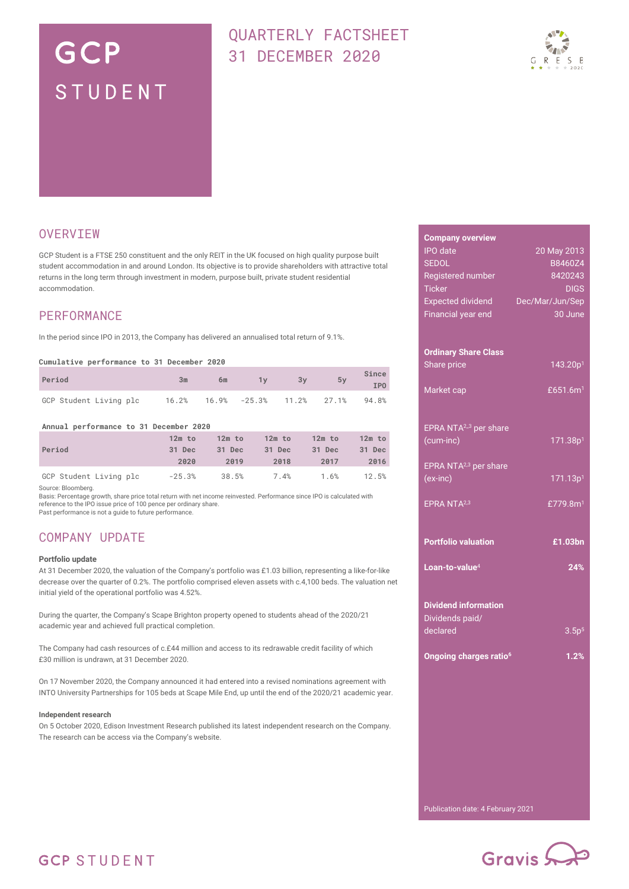# GCP STUDENT

# QUARTERLY FACTSHEET 31 DECEMBER 2020



### **OVERVIEW**

GCP Student is a FTSE 250 constituent and the only REIT in the UK focused on high quality purpose built student accommodation in and around London. Its objective is to provide shareholders with attractive total returns in the long term through investment in modern, purpose built, private student residential accommodation.

### PERFORMANCE

In the period since IPO in 2013, the Company has delivered an annualised total return of 9.1%.

#### **Cumulative performance to 31 December 2020**

| Period                 | 3m | 6m | 1v                                            | 3v | 5v | Since<br>IPO |
|------------------------|----|----|-----------------------------------------------|----|----|--------------|
| GCP Student Living plc |    |    | $16.2\%$ $16.9\%$ $-25.3\%$ $11.2\%$ $27.1\%$ |    |    | 94.8%        |

**Annual performance to 31 December 2020**

|                        | $12m$ to | $12m$ to | $12m$ to | $12m$ to | $12m$ to |
|------------------------|----------|----------|----------|----------|----------|
| Period                 | 31 Dec   | 31 Dec   | 31 Dec   | 31 Dec   | 31 Dec   |
|                        | 2020     | 2019     | 2018     | 2017     | 2016     |
| GCP Student Living plc | $-25.3%$ | 38.5%    | 7.4%     | 1.6%     | 12.5%    |

Source: Bloomberg.

Basis: Percentage growth, share price total return with net income reinvested. Performance since IPO is calculated with<br>reference to the IPO issue price of 100 pence per ordinary share.

Past performance is not a guide to future performance.

### COMPANY UPDATE

#### **Portfolio update**

At 31 December 2020, the valuation of the Company's portfolio was £1.03 billion, representing a like-for-like decrease over the quarter of 0.2%. The portfolio comprised eleven assets with c.4,100 beds. The valuation net initial yield of the operational portfolio was 4.52%.

During the quarter, the Company's Scape Brighton property opened to students ahead of the 2020/21 academic year and achieved full practical completion.

The Company had cash resources of c.£44 million and access to its redrawable credit facility of which £30 million is undrawn, at 31 December 2020.

On 17 November 2020, the Company announced it had entered into a revised nominations agreement with INTO University Partnerships for 105 beds at Scape Mile End, up until the end of the 2020/21 academic year.

#### **Independent research**

On 5 October 2020, Edison Investment Research published its latest independent research on the Company. The research can be access via the Company's website.

| <b>Company overview</b>            |                      |
|------------------------------------|----------------------|
| <b>IPO</b> date                    | 20 May 2013          |
| <b>SEDOL</b>                       | B8460Z4              |
| Registered number                  | 8420243              |
| <b>Ticker</b>                      | <b>DIGS</b>          |
| <b>Expected dividend</b>           | Dec/Mar/Jun/Sep      |
| Financial year end                 | 30 June              |
|                                    |                      |
| <b>Ordinary Share Class</b>        |                      |
| Share price                        | 143.20p <sup>1</sup> |
|                                    |                      |
| Market cap                         | £651.6m <sup>1</sup> |
|                                    |                      |
|                                    |                      |
| EPRA NTA <sup>2,3</sup> per share  |                      |
| (cum-inc)                          | 171.38p <sup>1</sup> |
| EPRA NTA <sup>2,3</sup> per share  |                      |
| (ex-inc)                           | 171.13p <sup>1</sup> |
|                                    |                      |
| EPRA NTA <sup>2,3</sup>            | £779.8m <sup>1</sup> |
|                                    |                      |
|                                    |                      |
| <b>Portfolio valuation</b>         | £1.03bn              |
|                                    |                      |
| Loan-to-value <sup>4</sup>         | 24%                  |
|                                    |                      |
| <b>Dividend information</b>        |                      |
| Dividends paid/                    |                      |
| declared                           | 3.5p <sup>5</sup>    |
|                                    |                      |
| Ongoing charges ratio <sup>6</sup> | 1.2%                 |
|                                    |                      |
|                                    |                      |
|                                    |                      |
|                                    |                      |
|                                    |                      |
|                                    |                      |
|                                    |                      |
|                                    |                      |
|                                    |                      |
|                                    |                      |

Publication date: 4 February 2021



## **GCP STUDENT**